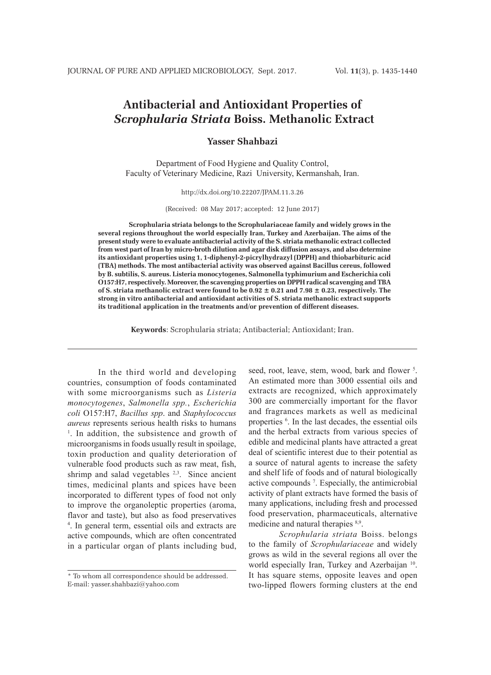# **Antibacterial and Antioxidant Properties of** *Scrophularia Striata* **Boiss. Methanolic Extract**

# **Yasser Shahbazi**

Department of Food Hygiene and Quality Control, Faculty of Veterinary Medicine, Razi University, Kermanshah, Iran.

http://dx.doi.org/10.22207/JPAM.11.3.26

(Received: 08 May 2017; accepted: 12 June 2017)

**Scrophularia striata belongs to the Scrophulariaceae family and widely grows in the several regions throughout the world especially Iran, Turkey and Azerbaijan. The aims of the present study were to evaluate antibacterial activity of the S. striata methanolic extract collected from west part of Iran by micro-broth dilution and agar disk diffusion assays, and also determine its antioxidant properties using 1, 1-diphenyl-2-picrylhydrazyl (DPPH) and thiobarbituric acid (TBA) methods. The most antibacterial activity was observed against Bacillus cereus, followed by B. subtilis, S. aureus. Listeria monocytogenes, Salmonella typhimurium and Escherichia coli O157:H7, respectively. Moreover, the scavenging properties on DPPH radical scavenging and TBA of S. striata methanolic extract were found to be 0.92 ± 0.21 and 7.98 ± 0.23, respectively. The strong in vitro antibacterial and antioxidant activities of S. striata methanolic extract supports its traditional application in the treatments and/or prevention of different diseases.**

**Keywords**: Scrophularia striata; Antibacterial; Antioxidant; Iran.

In the third world and developing countries, consumption of foods contaminated with some microorganisms such as *Listeria monocytogenes*, *Salmonella spp.*, *Escherichia coli* O157:H7, *Bacillus spp*. and *Staphylococcus aureus* represents serious health risks to humans 1 <sup>1</sup>. In addition, the subsistence and growth of microorganisms in foods usually result in spoilage, toxin production and quality deterioration of vulnerable food products such as raw meat, fish, shrimp and salad vegetables <sup>2,3</sup>. Since ancient times, medicinal plants and spices have been incorporated to different types of food not only to improve the organoleptic properties (aroma, flavor and taste), but also as food preservatives 4 . In general term, essential oils and extracts are active compounds, which are often concentrated in a particular organ of plants including bud,

seed, root, leave, stem, wood, bark and flower<sup>5</sup>. An estimated more than 3000 essential oils and extracts are recognized, which approximately 300 are commercially important for the flavor and fragrances markets as well as medicinal properties 6 . In the last decades, the essential oils and the herbal extracts from various species of edible and medicinal plants have attracted a great deal of scientific interest due to their potential as a source of natural agents to increase the safety and shelf life of foods and of natural biologically active compounds 7 . Especially, the antimicrobial activity of plant extracts have formed the basis of many applications, including fresh and processed food preservation, pharmaceuticals, alternative medicine and natural therapies 8,9.

*Scrophularia striata* Boiss. belongs to the family of *Scrophulariaceae* and widely grows as wild in the several regions all over the world especially Iran, Turkey and Azerbaijan <sup>10</sup>. It has square stems, opposite leaves and open two-lipped flowers forming clusters at the end

<sup>\*</sup> To whom all correspondence should be addressed. E-mail: yasser.shahbazi@yahoo.com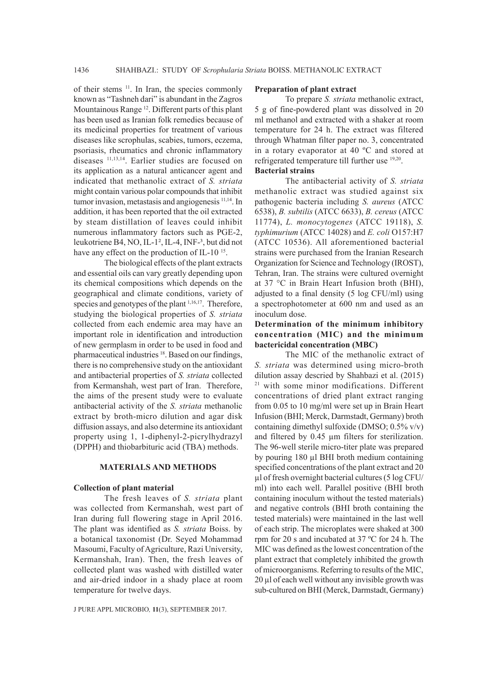of their stems <sup>11</sup>. In Iran, the species commonly known as "Tashneh dari" is abundant in the Zagros Mountainous Range 12. Different parts of this plant has been used as Iranian folk remedies because of its medicinal properties for treatment of various diseases like scrophulas, scabies, tumors, eczema, psoriasis, rheumatics and chronic inflammatory diseases 11,13,14. Earlier studies are focused on its application as a natural anticancer agent and indicated that methanolic extract of *S. striata*  might contain various polar compounds that inhibit tumor invasion, metastasis and angiogenesis <sup>11,14</sup>. In addition, it has been reported that the oil extracted by steam distillation of leaves could inhibit numerous inflammatory factors such as PGE-2, leukotriene B4, NO, IL-1², IL-4, INF-³, but did not have any effect on the production of IL-10<sup>15</sup>.

The biological effects of the plant extracts and essential oils can vary greatly depending upon its chemical compositions which depends on the geographical and climate conditions, variety of species and genotypes of the plant <sup>1,16,17</sup>. Therefore, studying the biological properties of *S. striata*  collected from each endemic area may have an important role in identification and introduction of new germplasm in order to be used in food and pharmaceutical industries <sup>18</sup>. Based on our findings, there is no comprehensive study on the antioxidant and antibacterial properties of *S. striata* collected from Kermanshah, west part of Iran. Therefore, the aims of the present study were to evaluate antibacterial activity of the *S. striata* methanolic extract by broth-micro dilution and agar disk diffusion assays, and also determine its antioxidant property using 1, 1-diphenyl-2-picrylhydrazyl (DPPH) and thiobarbituric acid (TBA) methods.

#### **MATERIALS AND METHODS**

### **Collection of plant material**

The fresh leaves of *S. striata* plant was collected from Kermanshah, west part of Iran during full flowering stage in April 2016. The plant was identified as *S. striata* Boiss. by a botanical taxonomist (Dr. Seyed Mohammad Masoumi, Faculty of Agriculture, Razi University, Kermanshah, Iran). Then, the fresh leaves of collected plant was washed with distilled water and air-dried indoor in a shady place at room temperature for twelve days.

#### J PURE APPL MICROBIO*,* **11**(3), SEPTEMBER 2017.

# **Preparation of plant extract**

To prepare *S. striata* methanolic extract, 5 g of fine-powdered plant was dissolved in 20 ml methanol and extracted with a shaker at room temperature for 24 h. The extract was filtered through Whatman filter paper no. 3, concentrated in a rotary evaporator at 40 ºC and stored at refrigerated temperature till further use 19,20. **Bacterial strains**

The antibacterial activity of *S. striata*  methanolic extract was studied against six pathogenic bacteria including *S. aureus* (ATCC 6538), *B. subtilis* (ATCC 6633), *B. cereus* (ATCC 11774), *L. monocytogenes* (ATCC 19118), *S. typhimurium* (ATCC 14028) and *E. coli* O157:H7 (ATCC 10536). All aforementioned bacterial strains were purchased from the Iranian Research Organization for Science and Technology (IROST), Tehran, Iran. The strains were cultured overnight at 37 °C in Brain Heart Infusion broth (BHI), adjusted to a final density (5 log CFU/ml) using a spectrophotometer at 600 nm and used as an inoculum dose.

# **Determination of the minimum inhibitory concentration (MIC) and the minimum bactericidal concentration (MBC)**

The MIC of the methanolic extract of *S. striata* was determined using micro-broth dilution assay descried by Shahbazi et al. (2015) 21 with some minor modifications. Different concentrations of dried plant extract ranging from 0.05 to 10 mg/ml were set up in Brain Heart Infusion (BHI; Merck, Darmstadt, Germany) broth containing dimethyl sulfoxide (DMSO; 0.5% v/v) and filtered by 0.45 µm filters for sterilization. The 96-well sterile micro-titer plate was prepared by pouring 180 µl BHI broth medium containing specified concentrations of the plant extract and 20 µl of fresh overnight bacterial cultures (5 log CFU/ ml) into each well. Parallel positive (BHI broth containing inoculum without the tested materials) and negative controls (BHI broth containing the tested materials) were maintained in the last well of each strip. The microplates were shaked at 300 rpm for 20 s and incubated at 37 ºC for 24 h. The MIC was defined as the lowest concentration of the plant extract that completely inhibited the growth of microorganisms. Referring to results of the MIC, 20 µl of each well without any invisible growth was sub-cultured on BHI (Merck, Darmstadt, Germany)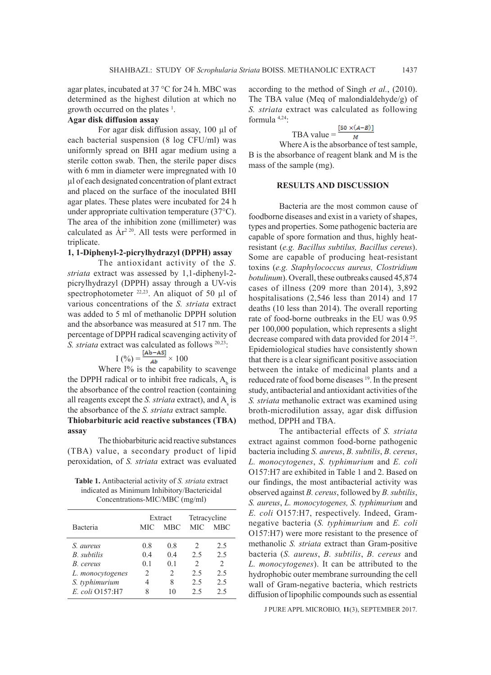agar plates, incubated at 37 °C for 24 h. MBC was determined as the highest dilution at which no growth occurred on the plates <sup>1</sup>.

# **Agar disk diffusion assay**

For agar disk diffusion assay, 100 µl of each bacterial suspension (8 log CFU/ml) was uniformly spread on BHI agar medium using a sterile cotton swab. Then, the sterile paper discs with 6 mm in diameter were impregnated with 10 µl of each designated concentration of plant extract and placed on the surface of the inoculated BHI agar plates. These plates were incubated for 24 h under appropriate cultivation temperature (37°C). The area of the inhibition zone (millimeter) was calculated as  $\rm \AA r^{2\,20}$ . All tests were performed in triplicate.

# **1, 1-Diphenyl-2-picrylhydrazyl (DPPH) assay**

The antioxidant activity of the *S. striata* extract was assessed by 1,1-diphenyl-2 picrylhydrazyl (DPPH) assay through a UV-vis spectrophotometer  $22,23$ . An aliquot of 50 µl of various concentrations of the *S. striata* extract was added to 5 ml of methanolic DPPH solution and the absorbance was measured at 517 nm. The percentage of DPPH radical scavenging activity of *S. striata* extract was calculated as follows 20,23:

$$
I\left(\frac{\%}{\text{A}}\right) = \frac{[Ab - AS]}{Ab} \times 100
$$

Where I% is the capability to scavenge the DPPH radical or to inhibit free radicals,  $A<sub>b</sub>$  is the absorbance of the control reaction (containing all reagents except the *S. striata* extract), and  $A_s$  is the absorbance of the *S. striata* extract sample. **Thiobarbituric acid reactive substances (TBA) assay**

The thiobarbituric acid reactive substances (TBA) value, a secondary product of lipid peroxidation, of *S. striata* extract was evaluated

**Table 1.** Antibacterial activity of *S. striata* extract indicated as Minimum Inhibitory/Bactericidal Concentrations-MIC/MBC (mg/ml)

|                  | Extract        |                | Tetracycline  |                             |
|------------------|----------------|----------------|---------------|-----------------------------|
| Bacteria         | MIC            | <b>MBC</b>     | <b>MIC</b>    | <b>MBC</b>                  |
| S. aureus        | 0.8            | 0.8            | $\mathcal{L}$ | 2.5                         |
| B. subtilis      | 0 <sub>4</sub> | 0.4            | 2.5           | 2.5                         |
| B. cereus        | 0 <sub>1</sub> | 0 <sub>1</sub> | $\mathcal{D}$ | $\mathcal{D}_{\mathcal{A}}$ |
| L. monocytogenes | $\mathfrak{D}$ | $\mathcal{D}$  | 2.5           | 2.5                         |
| S. typhimurium   |                | 8              | 2.5           | 2.5                         |
| E. coli Q157:H7  |                | 10             | 2.5           | 2.5                         |

according to the method of Singh *et al.*, (2010). The TBA value (Meq of malondialdehyde/g) of *S. striata* extract was calculated as following formula 4,24:

$$
TBA value = \frac{[50 \times (A-B)]}{M}
$$

Where A is the absorbance of test sample, B is the absorbance of reagent blank and M is the mass of the sample (mg).

## **RESULTS AND DISCUSSION**

Bacteria are the most common cause of foodborne diseases and exist in a variety of shapes, types and properties. Some pathogenic bacteria are capable of spore formation and thus, highly heatresistant (*e.g. Bacillus subtilus, Bacillus cereus*). Some are capable of producing heat-resistant toxins (*e.g. Staphylococcus aureus, Clostridium botulinum*). Overall, these outbreaks caused 45,874 cases of illness (209 more than 2014), 3,892 hospitalisations (2,546 less than 2014) and 17 deaths (10 less than 2014). The overall reporting rate of food-borne outbreaks in the EU was 0.95 per 100,000 population, which represents a slight decrease compared with data provided for 2014 25. Epidemiological studies have consistently shown that there is a clear significant positive association between the intake of medicinal plants and a reduced rate of food borne diseases 19. In the present study, antibacterial and antioxidant activities of the *S. striata* methanolic extract was examined using broth-microdilution assay, agar disk diffusion method, DPPH and TBA.

The antibacterial effects of *S. striata* extract against common food-borne pathogenic bacteria including *S. aureus*, *B. subtilis*, *B. cereus*, *L. monocytogenes*, *S. typhimurium* and *E. coli* O157:H7 are exhibited in Table 1 and 2. Based on our findings, the most antibacterial activity was observed against *B. cereus*, followed by *B. subtilis*, *S. aureus*, *L. monocytogenes, S. typhimurium* and *E. coli* O157:H7, respectively. Indeed, Gramnegative bacteria (*S. typhimurium* and *E. coli*  O157:H7) were more resistant to the presence of methanolic *S. striata* extract than Gram-positive bacteria (*S. aureus*, *B. subtilis*, *B. cereus* and *L. monocytogenes*). It can be attributed to the hydrophobic outer membrane surrounding the cell wall of Gram-negative bacteria, which restricts diffusion of lipophilic compounds such as essential

J PURE APPL MICROBIO*,* **11**(3), SEPTEMBER 2017.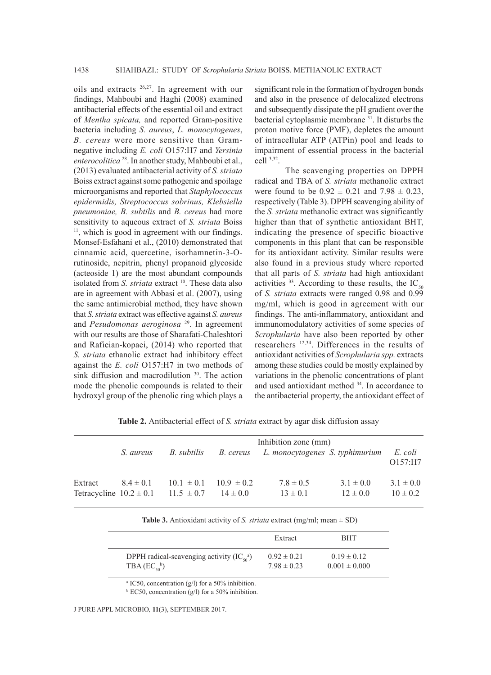oils and extracts 26,27. In agreement with our findings, Mahboubi and Haghi (2008) examined antibacterial effects of the essential oil and extract of *Mentha spicata,* and reported Gram-positive bacteria including *S. aureus*, *L. monocytogenes*, *B. cereus* were more sensitive than Gramnegative including *E. coli* O157:H7 and *Yersinia enterocolitica* 28. In another study, Mahboubi et al., (2013) evaluated antibacterial activity of *S. striata* Boiss extract against some pathogenic and spoilage microorganisms and reported that *Staphylococcus epidermidis, Streptococcus sobrinus, Klebsiella pneumoniae, B. subtilis* and *B. cereus* had more sensitivity to aqueous extract of *S. striata* Boiss<sup>11</sup>, which is good in agreement with our findings. Monsef-Esfahani et al., (2010) demonstrated that cinnamic acid, quercetine, isorhamnetin-3-Orutinoside, nepitrin, phenyl propanoid glycoside (acteoside 1) are the most abundant compounds isolated from *S. striata* extract <sup>10</sup>. These data also are in agreement with Abbasi et al. (2007), using the same antimicrobial method, they have shown that *S. striata* extract was effective against *S. aureus* and *Pesudomonas aeroginosa* 29. In agreement with our results are those of Sharafati-Chaleshtori and Rafieian-kopaei, (2014) who reported that *S. striata* ethanolic extract had inhibitory effect against the *E. coli* O157:H7 in two methods of sink diffusion and macrodilution <sup>30</sup>. The action mode the phenolic compounds is related to their hydroxyl group of the phenolic ring which plays a

significant role in the formation of hydrogen bonds and also in the presence of delocalized electrons and subsequently dissipate the pH gradient over the bacterial cytoplasmic membrane 31. It disturbs the proton motive force (PMF), depletes the amount of intracellular ATP (ATPin) pool and leads to impairment of essential process in the bacterial cell 3,32.

The scavenging properties on DPPH radical and TBA of *S. striata* methanolic extract were found to be  $0.92 \pm 0.21$  and  $7.98 \pm 0.23$ , respectively (Table 3). DPPH scavenging ability of the *S. striata* methanolic extract was significantly higher than that of synthetic antioxidant BHT, indicating the presence of specific bioactive components in this plant that can be responsible for its antioxidant activity. Similar results were also found in a previous study where reported that all parts of *S. striata* had high antioxidant activities  $33$ . According to these results, the IC<sub>50</sub> of *S. striata* extracts were ranged 0.98 and 0.99 mg/ml, which is good in agreement with our findings. The anti-inflammatory, antioxidant and immunomodulatory activities of some species of *Scrophularia* have also been reported by other researchers 12,34. Differences in the results of antioxidant activities of *Scrophularia spp.* extracts among these studies could be mostly explained by variations in the phenolic concentrations of plant and used antioxidant method 34. In accordance to the antibacterial property, the antioxidant effect of

Inhibition zone (mm) *S. aureus B. subtilis B. cereus L. monocytogenes S. typhimurium E. coli* O157:H7 Extract  $8.4 \pm 0.1$   $10.1 \pm 0.1$   $10.9 \pm 0.2$   $7.8 \pm 0.5$   $3.1 \pm 0.0$   $3.1 \pm 0.0$ Tetracycline  $10.2 \pm 0.1$   $11.5 \pm 0.7$   $14 \pm 0.0$   $13 \pm 0.1$   $12 \pm 0.0$   $10 \pm 0.2$ 

**Table 2.** Antibacterial effect of *S. striata* extract by agar disk diffusion assay

|  |  | <b>Table 3.</b> Antioxidant activity of <i>S. striata</i> extract (mg/ml; mean $\pm$ SD) |
|--|--|------------------------------------------------------------------------------------------|
|--|--|------------------------------------------------------------------------------------------|

|                                                       | Extract         | <b>BHT</b>        |
|-------------------------------------------------------|-----------------|-------------------|
| DPPH radical-scavenging activity $(IC_{50}^{\alpha})$ | $0.92 \pm 0.21$ | $0.19 \pm 0.12$   |
| TBA $(EC_{50}^{\ b})$                                 | $7.98 \pm 0.23$ | $0.001 \pm 0.000$ |

a IC50, concentration (g/l) for a 50% inhibition.

 $b$  EC50, concentration (g/l) for a 50% inhibition.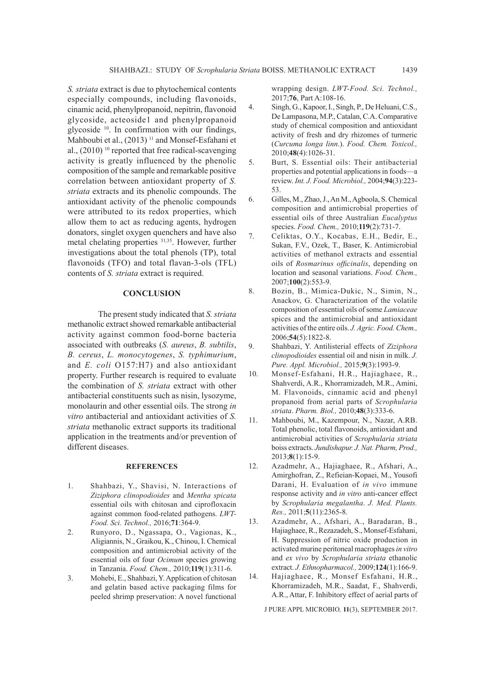*S. striata* extract is due to phytochemical contents especially compounds, including flavonoids, cinamic acid, phenylpropanoid, nepitrin, flavonoid glycoside, acteoside1 and phenylpropanoid glycoside 10. In confirmation with our findings, Mahboubi et al., (2013)<sup>11</sup> and Monsef-Esfahani et al.,  $(2010)$ <sup>10</sup> reported that free radical-scavenging activity is greatly influenced by the phenolic composition of the sample and remarkable positive correlation between antioxidant property of *S. striata* extracts and its phenolic compounds. The antioxidant activity of the phenolic compounds were attributed to its redox properties, which allow them to act as reducing agents, hydrogen donators, singlet oxygen quenchers and have also metal chelating properties 31,35. However, further investigations about the total phenols (TP), total flavonoids (TFO) and total flavan-3-ols (TFL) contents of *S. striata* extract is required.

#### **CONCLUSION**

The present study indicated that *S. striata* methanolic extract showed remarkable antibacterial activity against common food-borne bacteria associated with outbreaks (*S. aureus*, *B. subtilis*, *B. cereus*, *L. monocytogenes*, *S. typhimurium*, and *E. coli* O157:H7) and also antioxidant property. Further research is required to evaluate the combination of *S. striata* extract with other antibacterial constituents such as nisin, lysozyme, monolaurin and other essential oils. The strong *in vitro* antibacterial and antioxidant activities of *S. striata* methanolic extract supports its traditional application in the treatments and/or prevention of different diseases.

#### **REFERENCES**

- 1. Shahbazi, Y., Shavisi, N. Interactions of *Ziziphora clinopodioides* and *Mentha spicata*  essential oils with chitosan and ciprofloxacin against common food-related pathogens. *LWT-Food. Sci. Technol.,* 2016;**71**:364-9.
- 2. Runyoro, D., Ngassapa, O., Vagionas, K., Aligiannis, N., Graikou, K., Chinou, I. Chemical composition and antimicrobial activity of the essential oils of four *Ocimum* species growing in Tanzania. *Food. Chem.,* 2010;**119**(1):311-6.
- 3. Mohebi, E., Shahbazi, Y. Application of chitosan and gelatin based active packaging films for peeled shrimp preservation: A novel functional

wrapping design. *LWT-Food. Sci. Technol.,* 2017;**76**, Part A:108-16.

- 4. Singh, G., Kapoor, I., Singh, P., De Heluani, C.S., De Lampasona, M.P., Catalan, C.A. Comparative study of chemical composition and antioxidant activity of fresh and dry rhizomes of turmeric (*Curcuma longa linn*.). *Food. Chem. Toxicol.,* 2010;**48**(4):1026-31.
- 5. Burt, S. Essential oils: Their antibacterial properties and potential applications in foods—a review. *Int. J. Food. Microbiol.,* 2004;**94**(3):223- 53.
- 6. Gilles, M., Zhao, J., An M., Agboola, S. Chemical composition and antimicrobial properties of essential oils of three Australian *Eucalyptus* species. *Food. Chem.,* 2010;**119**(2):731-7.
- 7. Celiktas, O.Y., Kocabas, E.H., Bedir, E., Sukan, F.V., Ozek, T., Baser, K. Antimicrobial activities of methanol extracts and essential oils of *Rosmarinus officinalis*, depending on location and seasonal variations. *Food. Chem.,* 2007;**100**(2):553-9.
- 8. Bozin, B., Mimica-Dukic, N., Simin, N., Anackov, G. Characterization of the volatile composition of essential oils of some *Lamiaceae*  spices and the antimicrobial and antioxidant activities of the entire oils. *J. Agric. Food. Chem.,* 2006;**54**(5):1822-8.
- 9. Shahbazi, Y. Antilisterial effects of *Ziziphora clinopodioides* essential oil and nisin in milk. *J. Pure. Appl. Microbiol.,* 2015;**9**(3):1993-9.
- 10. Monsef-Esfahani, H.R., Hajiaghaee, R., Shahverdi, A.R., Khorramizadeh, M.R., Amini, M. Flavonoids, cinnamic acid and phenyl propanoid from aerial parts of *Scrophularia striata*. *Pharm. Biol.,* 2010;**48**(3):333-6.
- 11. Mahboubi, M., Kazempour, N., Nazar, A.RB. Total phenolic, total flavonoids, antioxidant and antimicrobial activities of *Scrophularia striata*  boiss extracts. *Jundishapur. J. Nat. Pharm, Prod.,* 2013;**8**(1):15-9.
- 12. Azadmehr, A., Hajiaghaee, R., Afshari, A., Amirghofran, Z., Refieian-Kopaei, M., Yousofi Darani, H. Evaluation of *in vivo* immune response activity and *in vitro* anti-cancer effect by *Scrophularia megalantha*. *J. Med. Plants. Res.,* 2011;**5**(11):2365-8.
- 13. Azadmehr, A., Afshari, A., Baradaran, B., Hajiaghaee, R., Rezazadeh, S., Monsef-Esfahani, H. Suppression of nitric oxide production in activated murine peritoneal macrophages *in vitro*  and *ex vivo* by *Scrophularia striata* ethanolic extract. *J. Ethnopharmacol.,* 2009;**124**(1):166-9.
- 14. Hajiaghaee, R., Monsef Esfahani, H.R., Khorramizadeh, M.R., Saadat, F., Shahverdi, A.R., Attar, F. Inhibitory effect of aerial parts of

J PURE APPL MICROBIO*,* **11**(3), SEPTEMBER 2017.